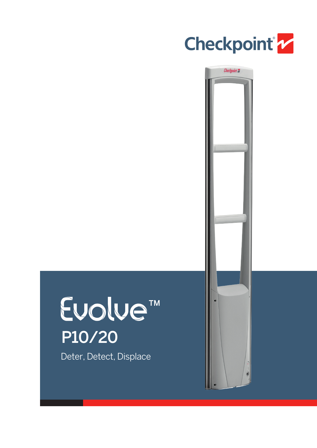